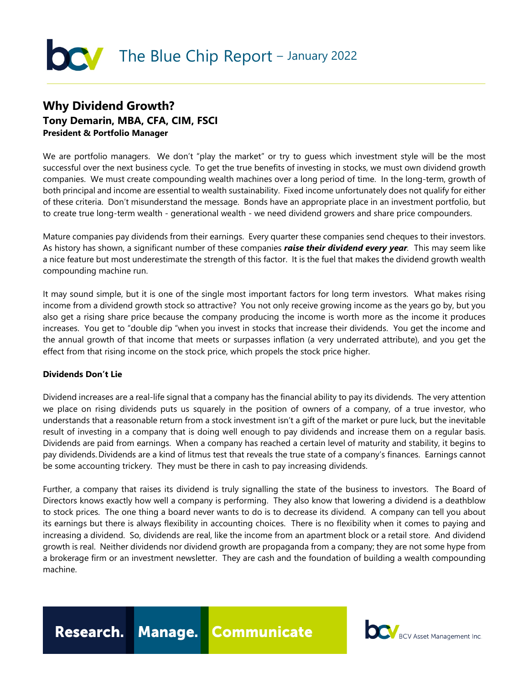# The Blue Chip Report - January 2022

## **Why Dividend Growth? Tony Demarin, MBA, CFA, CIM, FSCI President & Portfolio Manager**

We are portfolio managers. We don't "play the market" or try to guess which investment style will be the most successful over the next business cycle. To get the true benefits of investing in stocks, we must own dividend growth companies. We must create compounding wealth machines over a long period of time. In the long-term, growth of both principal and income are essential to wealth sustainability. Fixed income unfortunately does not qualify for either of these criteria. Don't misunderstand the message. Bonds have an appropriate place in an investment portfolio, but to create true long-term wealth - generational wealth - we need dividend growers and share price compounders.

Mature companies pay dividends from their earnings. Every quarter these companies send cheques to their investors. As history has shown, a significant number of these companies *raise their dividend every year.* This may seem like a nice feature but most underestimate the strength of this factor. It is the fuel that makes the dividend growth wealth compounding machine run.

It may sound simple, but it is one of the single most important factors for long term investors. What makes rising income from a dividend growth stock so attractive? You not only receive growing income as the years go by, but you also get a rising share price because the company producing the income is worth more as the income it produces increases. You get to "double dip "when you invest in stocks that increase their dividends. You get the income and the annual growth of that income that meets or surpasses inflation (a very underrated attribute), and you get the effect from that rising income on the stock price, which propels the stock price higher.

### **Dividends Don't Lie**

Dividend increases are a real-life signal that a company has the financial ability to pay its dividends. The very attention we place on rising dividends puts us squarely in the position of owners of a company, of a true investor, who understands that a reasonable return from a stock investment isn't a gift of the market or pure luck, but the inevitable result of investing in a company that is doing well enough to pay dividends and increase them on a regular basis. Dividends are paid from earnings. When a company has reached a certain level of maturity and stability, it begins to pay dividends. Dividends are a kind of litmus test that reveals the true state of a company's finances. Earnings cannot be some accounting trickery. They must be there in cash to pay increasing dividends.

Further, a company that raises its dividend is truly signalling the state of the business to investors. The Board of Directors knows exactly how well a company is performing. They also know that lowering a dividend is a deathblow to stock prices. The one thing a board never wants to do is to decrease its dividend. A company can tell you about its earnings but there is always flexibility in accounting choices. There is no flexibility when it comes to paying and increasing a dividend. So, dividends are real, like the income from an apartment block or a retail store. And dividend growth is real. Neither dividends nor dividend growth are propaganda from a company; they are not some hype from a brokerage firm or an investment newsletter. They are cash and the foundation of building a wealth compounding machine.

Research. Manage. Communicate

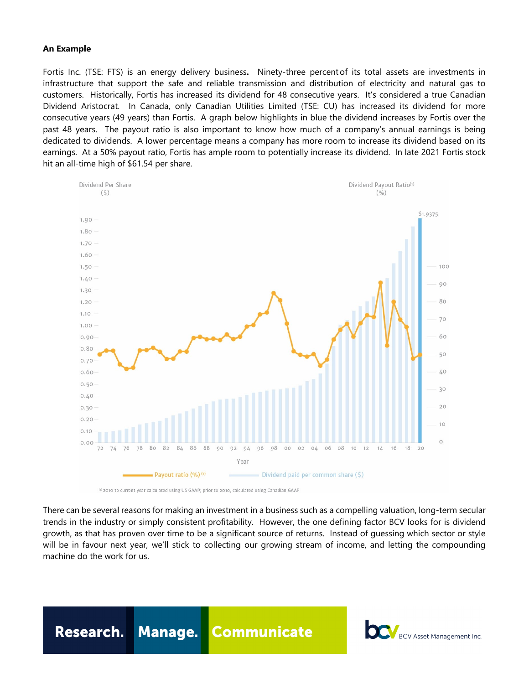#### **An Example**

Fortis Inc. (TSE: FTS) is an energy delivery business**.** Ninety-three percent of its total assets are investments in infrastructure that support the safe and reliable transmission and distribution of electricity and natural gas to customers. Historically, Fortis has increased its dividend for 48 consecutive years. It's considered a true Canadian Dividend Aristocrat. In Canada, only Canadian Utilities Limited (TSE: CU) has increased its dividend for more consecutive years (49 years) than Fortis. A graph below highlights in blue the dividend increases by Fortis over the past 48 years. The payout ratio is also important to know how much of a company's annual earnings is being dedicated to dividends. A lower percentage means a company has more room to increase its dividend based on its earnings. At a 50% payout ratio, Fortis has ample room to potentially increase its dividend. In late 2021 Fortis stock hit an all-time high of \$61.54 per share.



(1) 2010 to current year calculated using US GAAP; prior to 2010, calculated using Canadian GAAP

There can be several reasons for making an investment in a business such as a compelling valuation, long-term secular trends in the industry or simply consistent profitability. However, the one defining factor BCV looks for is dividend growth, as that has proven over time to be a significant source of returns. Instead of guessing which sector or style will be in favour next year, we'll stick to collecting our growing stream of income, and letting the compounding machine do the work for us.

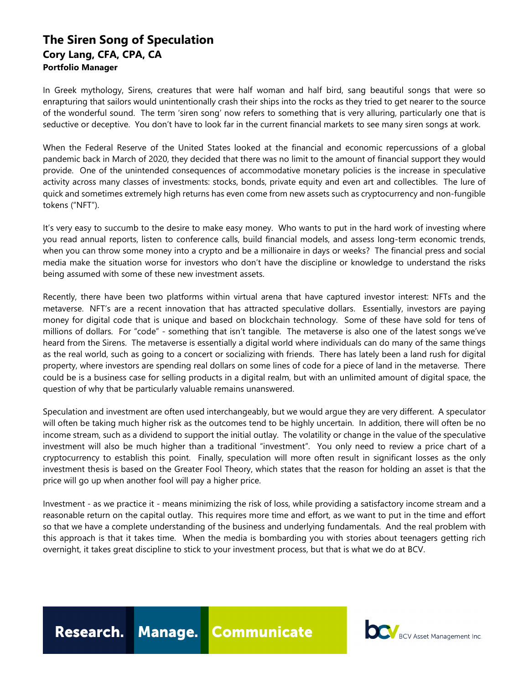## **The Siren Song of Speculation Cory Lang, CFA, CPA, CA Portfolio Manager**

In Greek mythology, Sirens, creatures that were half woman and half bird, sang beautiful songs that were so enrapturing that sailors would unintentionally crash their ships into the rocks as they tried to get nearer to the source of the wonderful sound. The term 'siren song' now refers to something that is very alluring, particularly one that is seductive or deceptive. You don't have to look far in the current financial markets to see many siren songs at work.

When the Federal Reserve of the United States looked at the financial and economic repercussions of a global pandemic back in March of 2020, they decided that there was no limit to the amount of financial support they would provide. One of the unintended consequences of accommodative monetary policies is the increase in speculative activity across many classes of investments: stocks, bonds, private equity and even art and collectibles. The lure of quick and sometimes extremely high returns has even come from new assets such as cryptocurrency and non-fungible tokens ("NFT").

It's very easy to succumb to the desire to make easy money. Who wants to put in the hard work of investing where you read annual reports, listen to conference calls, build financial models, and assess long-term economic trends, when you can throw some money into a crypto and be a millionaire in days or weeks? The financial press and social media make the situation worse for investors who don't have the discipline or knowledge to understand the risks being assumed with some of these new investment assets.

Recently, there have been two platforms within virtual arena that have captured investor interest: NFTs and the metaverse. NFT's are a recent innovation that has attracted speculative dollars. Essentially, investors are paying money for digital code that is unique and based on blockchain technology. Some of these have sold for tens of millions of dollars. For "code" - something that isn't tangible. The metaverse is also one of the latest songs we've heard from the Sirens. The metaverse is essentially a digital world where individuals can do many of the same things as the real world, such as going to a concert or socializing with friends. There has lately been a land rush for digital property, where investors are spending real dollars on some lines of code for a piece of land in the metaverse. There could be is a business case for selling products in a digital realm, but with an unlimited amount of digital space, the question of why that be particularly valuable remains unanswered.

Speculation and investment are often used interchangeably, but we would argue they are very different. A speculator will often be taking much higher risk as the outcomes tend to be highly uncertain. In addition, there will often be no income stream, such as a dividend to support the initial outlay. The volatility or change in the value of the speculative investment will also be much higher than a traditional "investment". You only need to review a price chart of a cryptocurrency to establish this point. Finally, speculation will more often result in significant losses as the only investment thesis is based on the Greater Fool Theory, which states that the reason for holding an asset is that the price will go up when another fool will pay a higher price.

Investment - as we practice it - means minimizing the risk of loss, while providing a satisfactory income stream and a reasonable return on the capital outlay. This requires more time and effort, as we want to put in the time and effort so that we have a complete understanding of the business and underlying fundamentals. And the real problem with this approach is that it takes time. When the media is bombarding you with stories about teenagers getting rich overnight, it takes great discipline to stick to your investment process, but that is what we do at BCV.